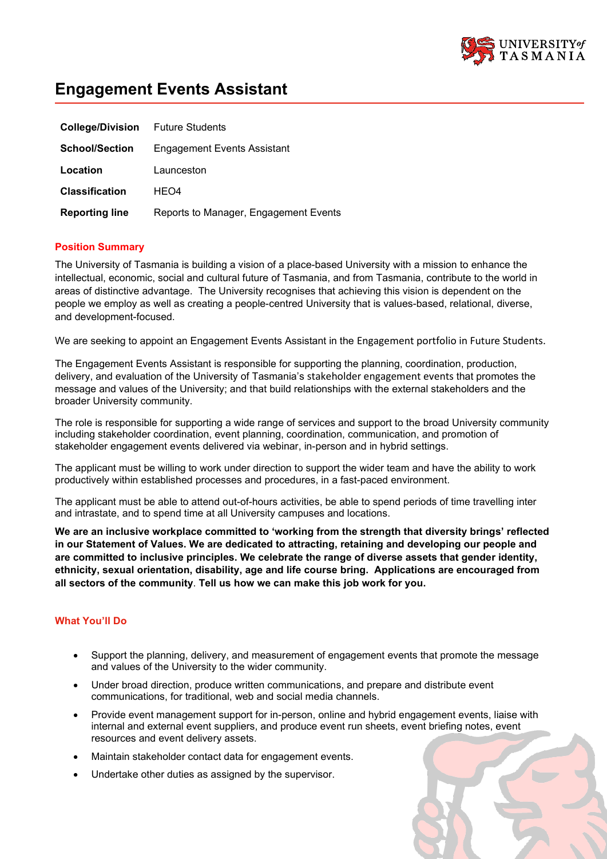

# **Engagement Events Assistant**

| <b>College/Division</b> Future Students |                                       |
|-----------------------------------------|---------------------------------------|
| <b>School/Section</b>                   | Engagement Events Assistant           |
| Location                                | Launceston                            |
| <b>Classification</b>                   | HEO4                                  |
| <b>Reporting line</b>                   | Reports to Manager, Engagement Events |

### **Position Summary**

The University of Tasmania is building a vision of a place-based University with a mission to enhance the intellectual, economic, social and cultural future of Tasmania, and from Tasmania, contribute to the world in areas of distinctive advantage. The University recognises that achieving this vision is dependent on the people we employ as well as creating a people-centred University that is values-based, relational, diverse, and development-focused.

We are seeking to appoint an Engagement Events Assistant in the Engagement portfolio in Future Students.

The Engagement Events Assistant is responsible for supporting the planning, coordination, production, delivery, and evaluation of the University of Tasmania's stakeholder engagement events that promotes the message and values of the University; and that build relationships with the external stakeholders and the broader University community.

The role is responsible for supporting a wide range of services and support to the broad University community including stakeholder coordination, event planning, coordination, communication, and promotion of stakeholder engagement events delivered via webinar, in-person and in hybrid settings.

The applicant must be willing to work under direction to support the wider team and have the ability to work productively within established processes and procedures, in a fast-paced environment.

The applicant must be able to attend out-of-hours activities, be able to spend periods of time travelling inter and intrastate, and to spend time at all University campuses and locations.

**We are an inclusive workplace committed to 'working from the strength that diversity brings' reflected in our Statement of Values. We are dedicated to attracting, retaining and developing our people and are committed to inclusive principles. We celebrate the range of diverse assets that gender identity, ethnicity, sexual orientation, disability, age and life course bring. Applications are encouraged from all sectors of the community**. **Tell us how we can make this job work for you.**

# **What You'll Do**

- Support the planning, delivery, and measurement of engagement events that promote the message and values of the University to the wider community.
- Under broad direction, produce written communications, and prepare and distribute event communications, for traditional, web and social media channels.
- Provide event management support for in-person, online and hybrid engagement events, liaise with internal and external event suppliers, and produce event run sheets, event briefing notes, event resources and event delivery assets.
- Maintain stakeholder contact data for engagement events.
- Undertake other duties as assigned by the supervisor.